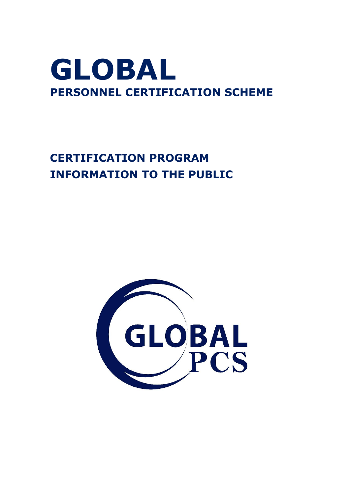## **GLOBAL PERSONNEL CERTIFICATION SCHEME**

## **CERTIFICATION PROGRAM INFORMATION TO THE PUBLIC**

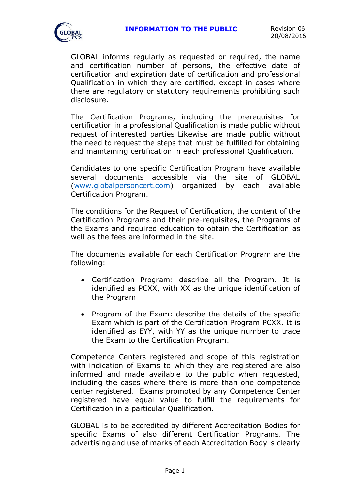

GLOBAL informs regularly as requested or required, the name and certification number of persons, the effective date of certification and expiration date of certification and professional Qualification in which they are certified, except in cases where there are regulatory or statutory requirements prohibiting such disclosure.

The Certification Programs, including the prerequisites for certification in a professional Qualification is made public without request of interested parties Likewise are made public without the need to request the steps that must be fulfilled for obtaining and maintaining certification in each professional Qualification.

Candidates to one specific Certification Program have available several documents accessible via the site of GLOBAL [\(www.globalpersoncert.com\)](http://www.globalpersoncert.com/) organized by each available Certification Program.

The conditions for the Request of Certification, the content of the Certification Programs and their pre-requisites, the Programs of the Exams and required education to obtain the Certification as well as the fees are informed in the site.

The documents available for each Certification Program are the following:

- Certification Program: describe all the Program. It is identified as PCXX, with XX as the unique identification of the Program
- Program of the Exam: describe the details of the specific Exam which is part of the Certification Program PCXX. It is identified as EYY, with YY as the unique number to trace the Exam to the Certification Program.

Competence Centers registered and scope of this registration with indication of Exams to which they are registered are also informed and made available to the public when requested, including the cases where there is more than one competence center registered. Exams promoted by any Competence Center registered have equal value to fulfill the requirements for Certification in a particular Qualification.

GLOBAL is to be accredited by different Accreditation Bodies for specific Exams of also different Certification Programs. The advertising and use of marks of each Accreditation Body is clearly